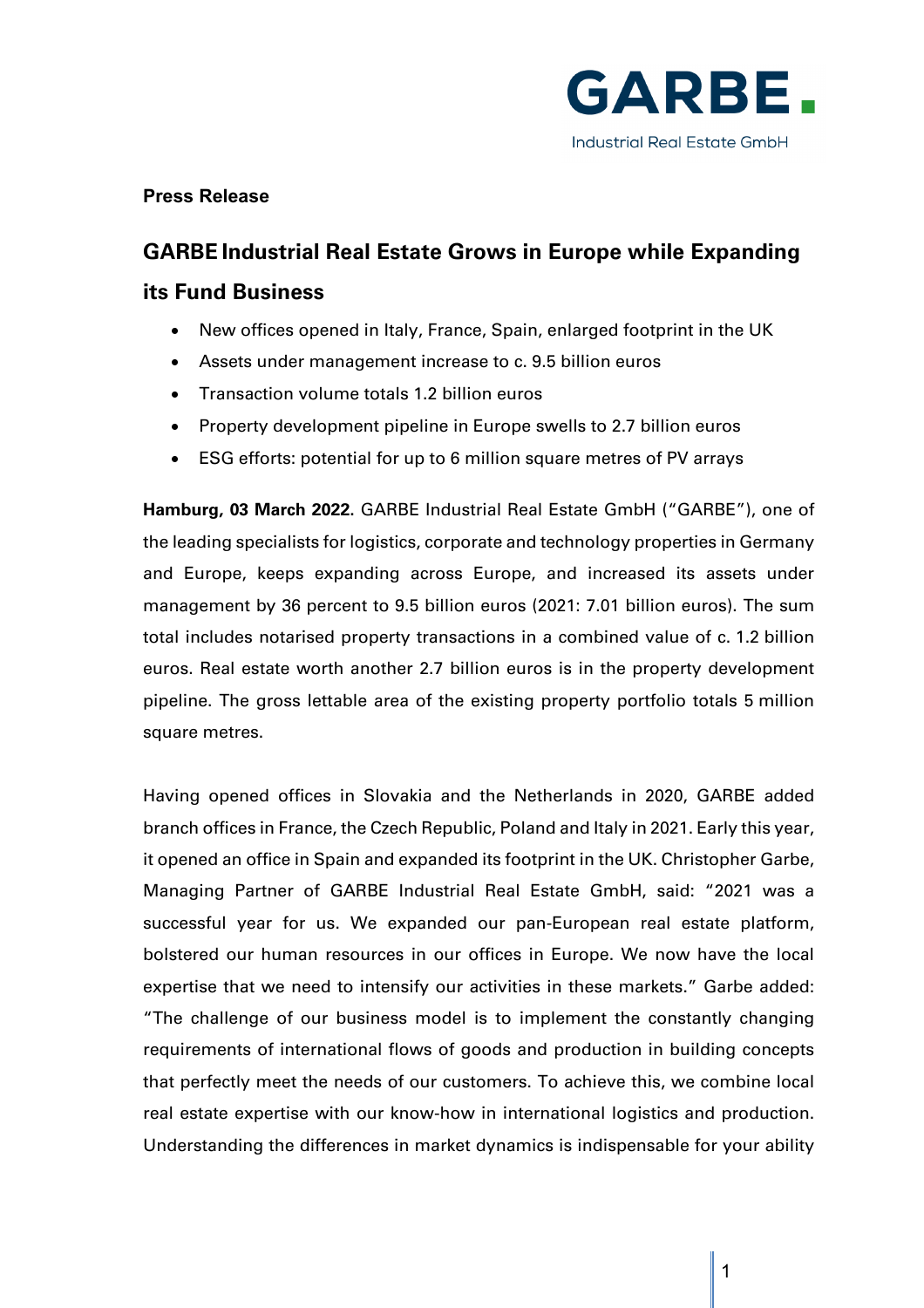

# **Press Release**

# **GARBE Industrial Real Estate Grows in Europe while Expanding its Fund Business**

- New offices opened in Italy, France, Spain, enlarged footprint in the UK
- Assets under management increase to c. 9.5 billion euros
- Transaction volume totals 1.2 billion euros
- Property development pipeline in Europe swells to 2.7 billion euros
- ESG efforts: potential for up to 6 million square metres of PV arrays

**Hamburg, 03 March 2022.** GARBE Industrial Real Estate GmbH ("GARBE"), one of the leading specialists for logistics, corporate and technology properties in Germany and Europe, keeps expanding across Europe, and increased its assets under management by 36 percent to 9.5 billion euros (2021: 7.01 billion euros). The sum total includes notarised property transactions in a combined value of c. 1.2 billion euros. Real estate worth another 2.7 billion euros is in the property development pipeline. The gross lettable area of the existing property portfolio totals 5 million square metres.

Having opened offices in Slovakia and the Netherlands in 2020, GARBE added branch offices in France, the Czech Republic, Poland and Italy in 2021. Early this year, it opened an office in Spain and expanded its footprint in the UK. Christopher Garbe, Managing Partner of GARBE Industrial Real Estate GmbH, said: "2021 was a successful year for us. We expanded our pan-European real estate platform, bolstered our human resources in our offices in Europe. We now have the local expertise that we need to intensify our activities in these markets." Garbe added: "The challenge of our business model is to implement the constantly changing requirements of international flows of goods and production in building concepts that perfectly meet the needs of our customers. To achieve this, we combine local real estate expertise with our know-how in international logistics and production. Understanding the differences in market dynamics is indispensable for your ability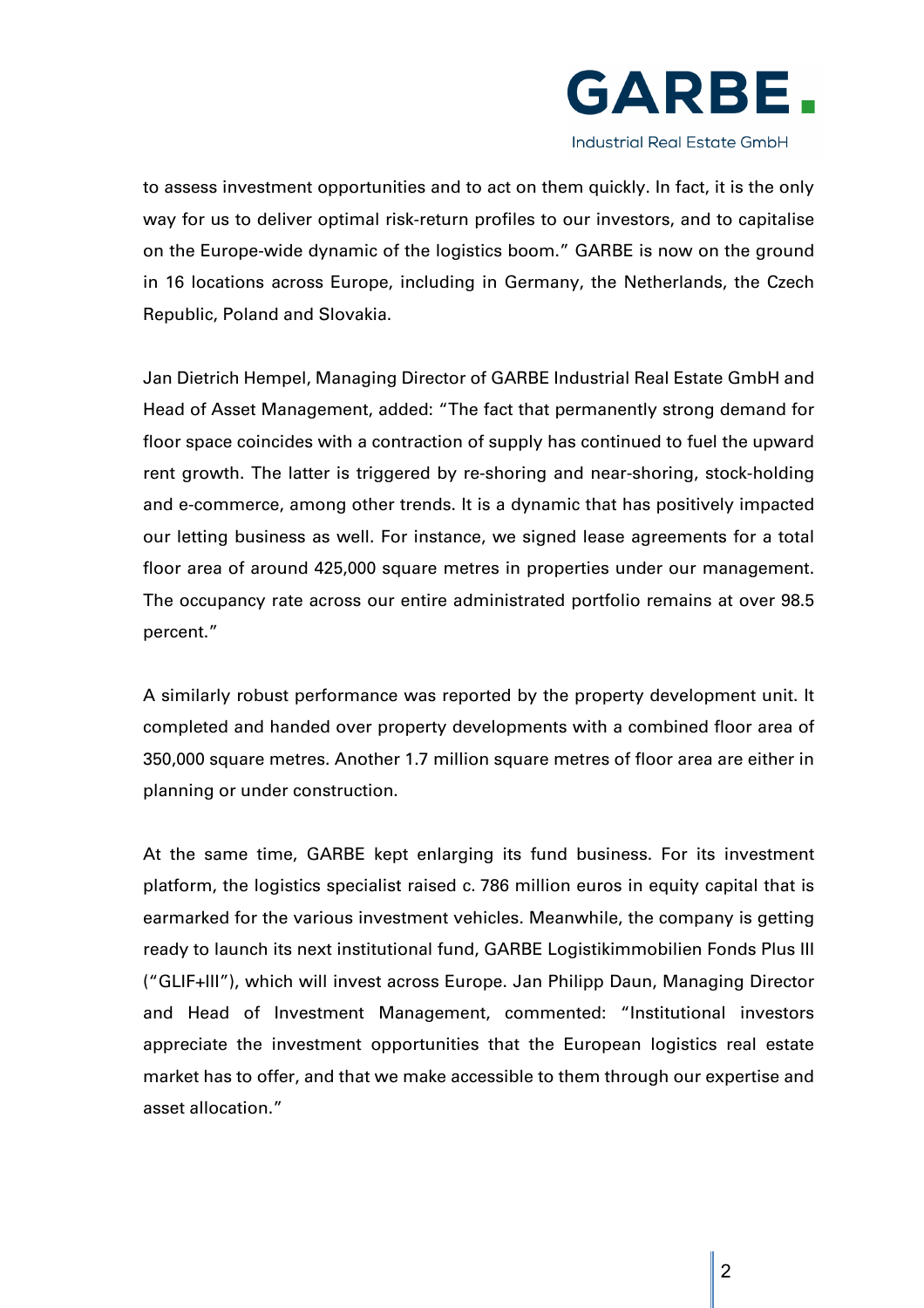

**Industrial Real Estate GmbH** 

to assess investment opportunities and to act on them quickly. In fact, it is the only way for us to deliver optimal risk-return profiles to our investors, and to capitalise on the Europe-wide dynamic of the logistics boom." GARBE is now on the ground in 16 locations across Europe, including in Germany, the Netherlands, the Czech Republic, Poland and Slovakia.

Jan Dietrich Hempel, Managing Director of GARBE Industrial Real Estate GmbH and Head of Asset Management, added: "The fact that permanently strong demand for floor space coincides with a contraction of supply has continued to fuel the upward rent growth. The latter is triggered by re-shoring and near-shoring, stock-holding and e-commerce, among other trends. It is a dynamic that has positively impacted our letting business as well. For instance, we signed lease agreements for a total floor area of around 425,000 square metres in properties under our management. The occupancy rate across our entire administrated portfolio remains at over 98.5 percent."

A similarly robust performance was reported by the property development unit. It completed and handed over property developments with a combined floor area of 350,000 square metres. Another 1.7 million square metres of floor area are either in planning or under construction.

At the same time, GARBE kept enlarging its fund business. For its investment platform, the logistics specialist raised c. 786 million euros in equity capital that is earmarked for the various investment vehicles. Meanwhile, the company is getting ready to launch its next institutional fund, GARBE Logistikimmobilien Fonds Plus III ("GLIF+III"), which will invest across Europe. Jan Philipp Daun, Managing Director and Head of Investment Management, commented: "Institutional investors appreciate the investment opportunities that the European logistics real estate market has to offer, and that we make accessible to them through our expertise and asset allocation."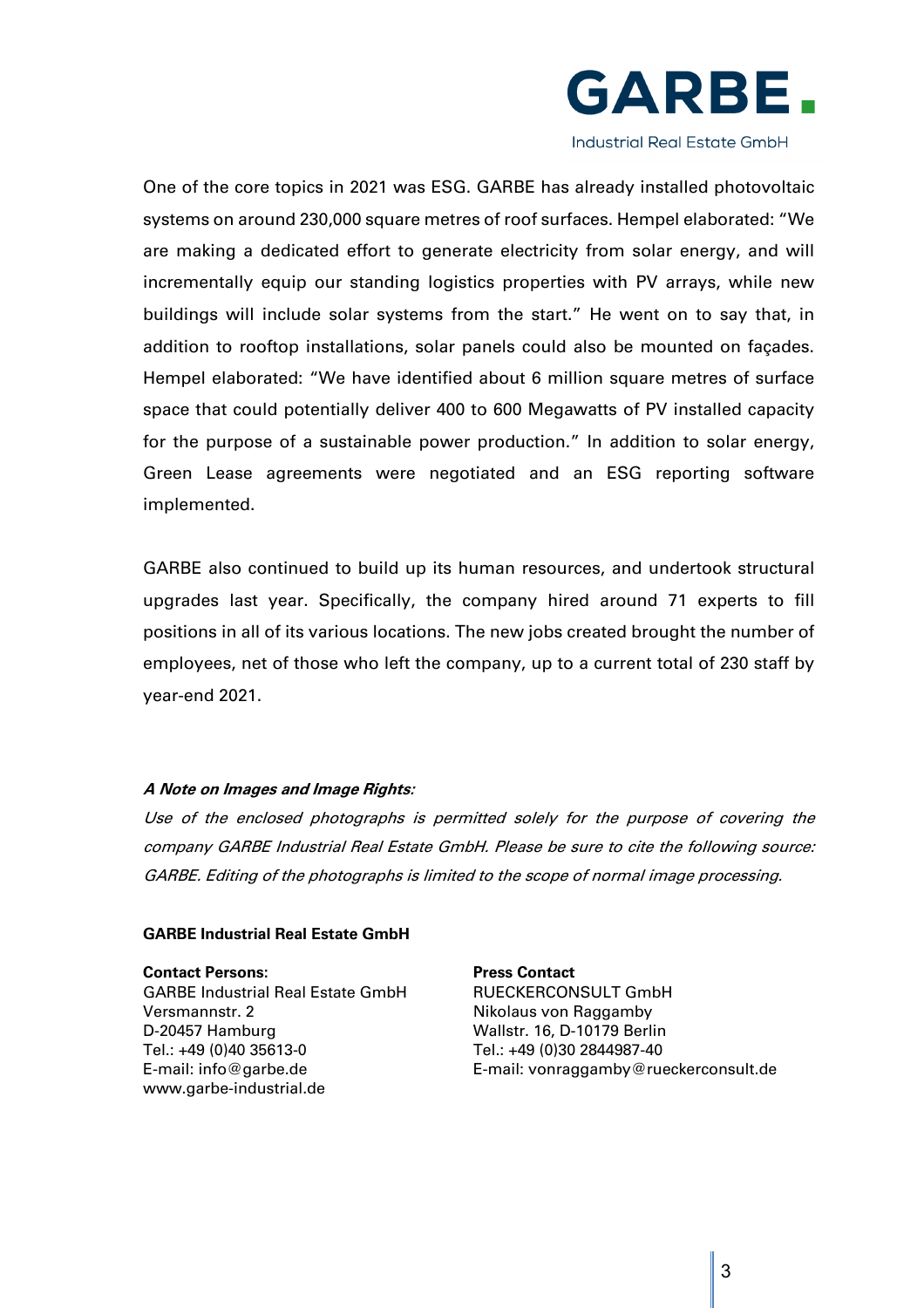

**Industrial Real Estate GmbH** 

One of the core topics in 2021 was ESG. GARBE has already installed photovoltaic systems on around 230,000 square metres of roof surfaces. Hempel elaborated: "We are making a dedicated effort to generate electricity from solar energy, and will incrementally equip our standing logistics properties with PV arrays, while new buildings will include solar systems from the start." He went on to say that, in addition to rooftop installations, solar panels could also be mounted on façades. Hempel elaborated: "We have identified about 6 million square metres of surface space that could potentially deliver 400 to 600 Megawatts of PV installed capacity for the purpose of a sustainable power production." In addition to solar energy, Green Lease agreements were negotiated and an ESG reporting software implemented.

GARBE also continued to build up its human resources, and undertook structural upgrades last year. Specifically, the company hired around 71 experts to fill positions in all of its various locations. The new jobs created brought the number of employees, net of those who left the company, up to a current total of 230 staff by year-end 2021.

#### **A Note on Images and Image Rights:**

Use of the enclosed photographs is permitted solely for the purpose of covering the company GARBE Industrial Real Estate GmbH. Please be sure to cite the following source: GARBE. Editing of the photographs is limited to the scope of normal image processing.

## **GARBE Industrial Real Estate GmbH**

**Contact Persons: Press Contact** GARBE Industrial Real Estate GmbH RUECKERCONSULT GmbH Versmannstr. 2 Nikolaus von Raggamby D-20457 Hamburg Wallstr. 16, D-10179 Berlin Tel.: +49 (0)40 35613-0 Tel.: +49 (0)30 2844987-40 E-mail: info@garbe.de E-mail: vonraggamby@rueckerconsult.de www.garbe-industrial.de